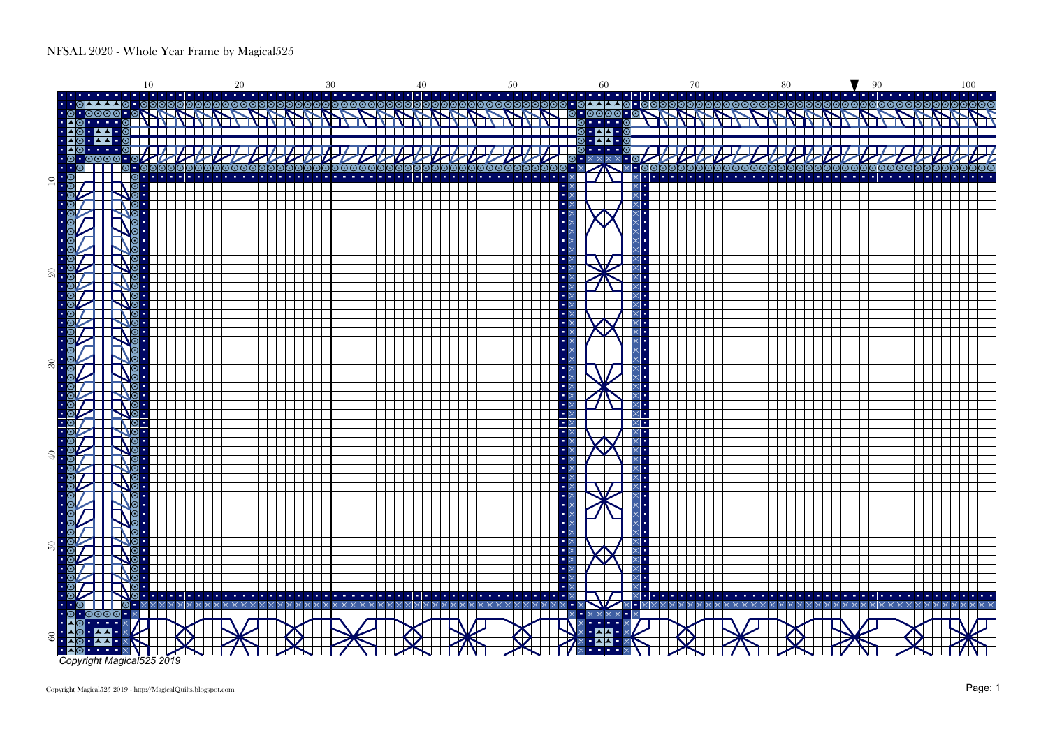

Copyright Magical525 2019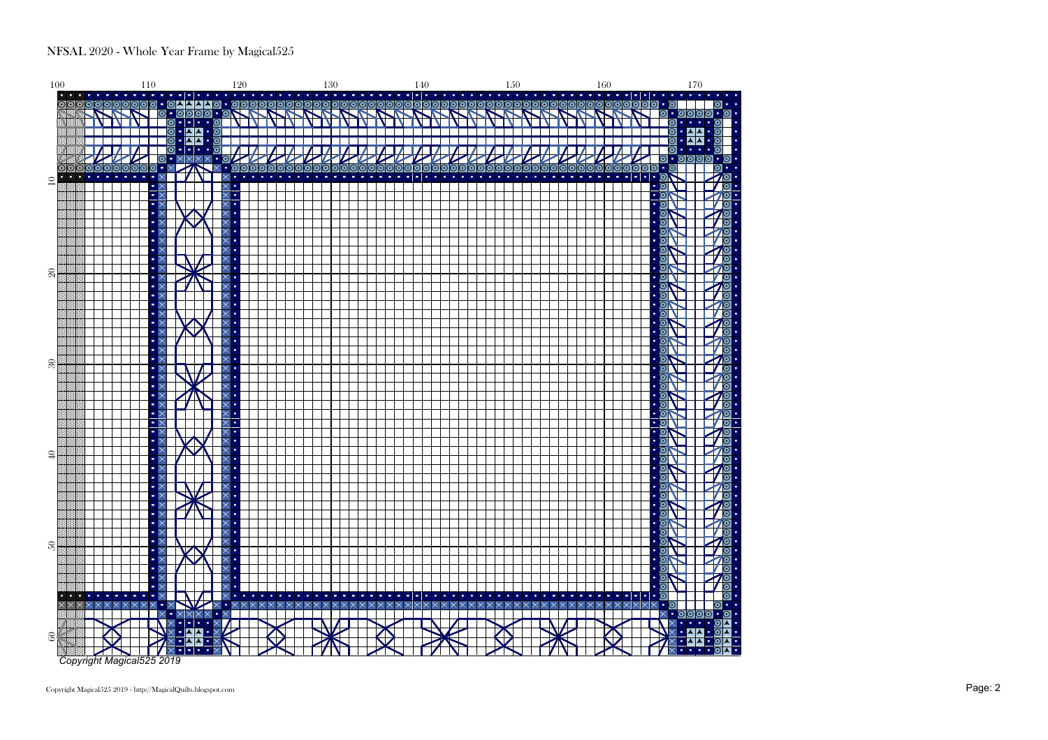

Copyright Magical525 2019 - http://MagicalQuilts.blogspot.com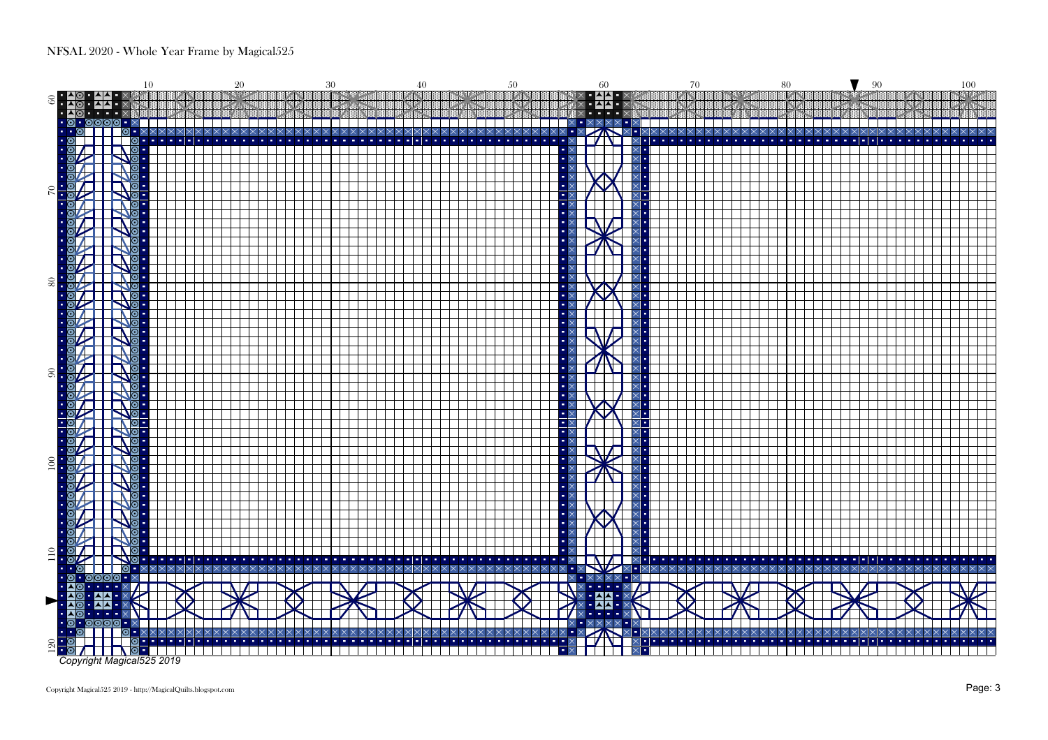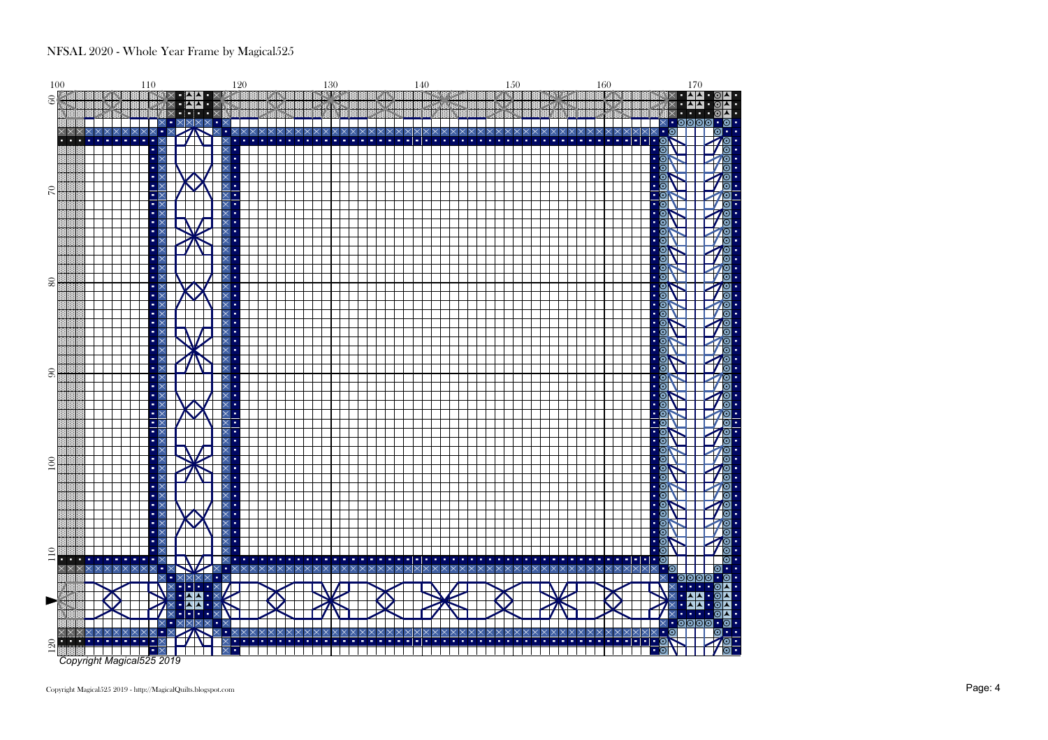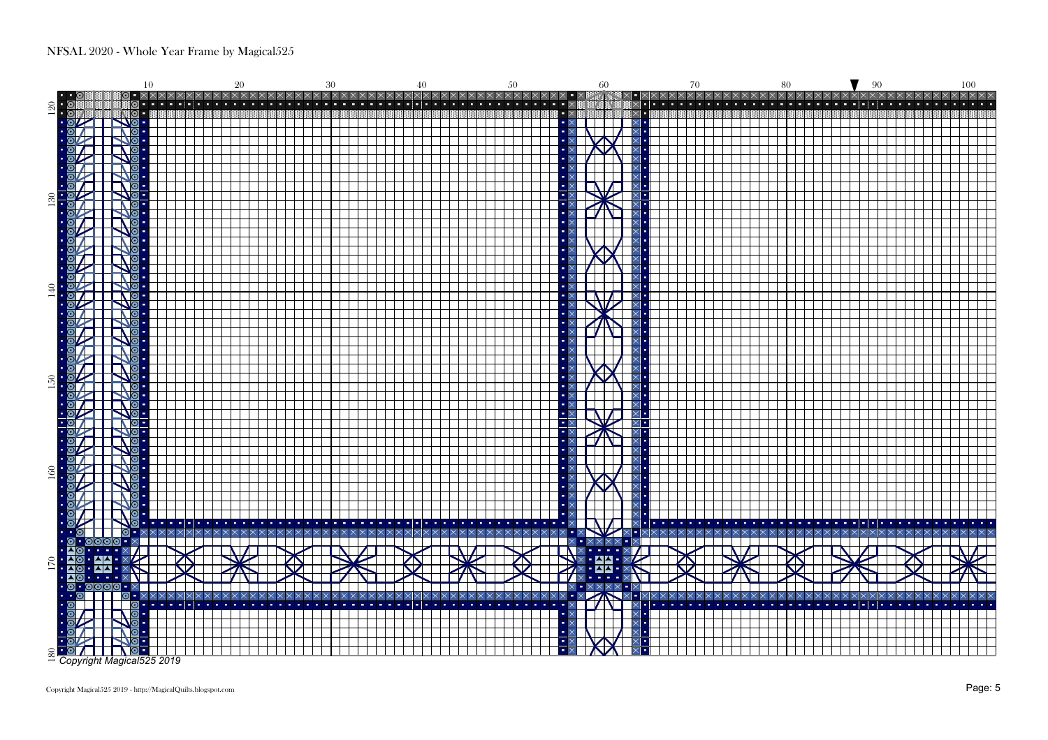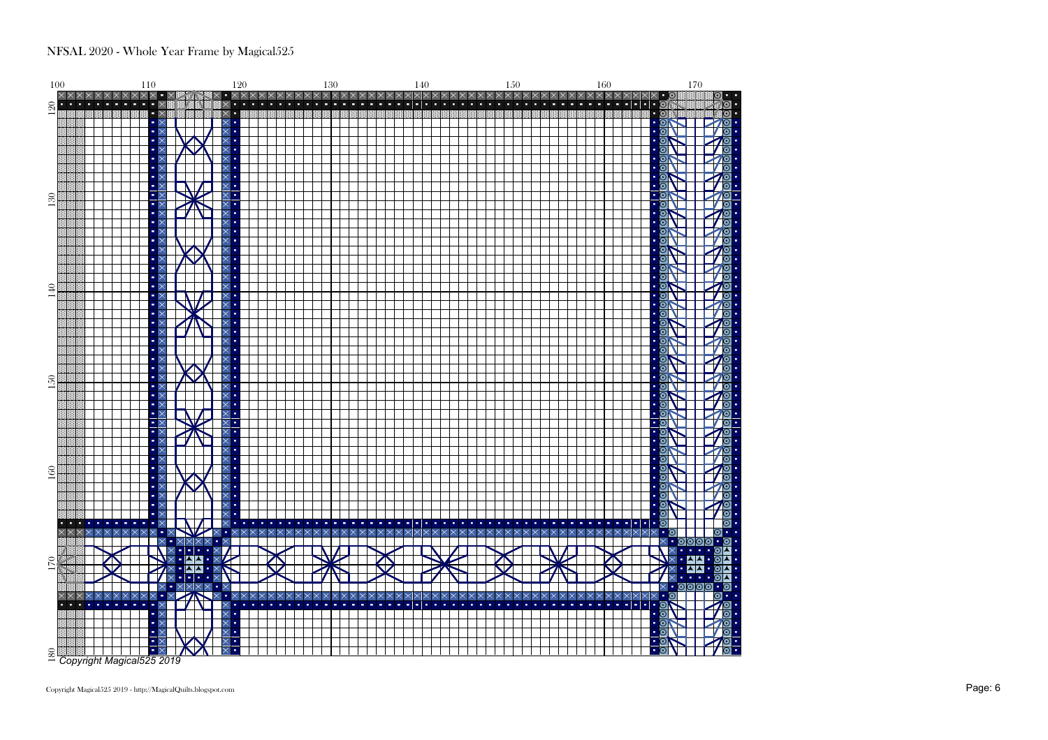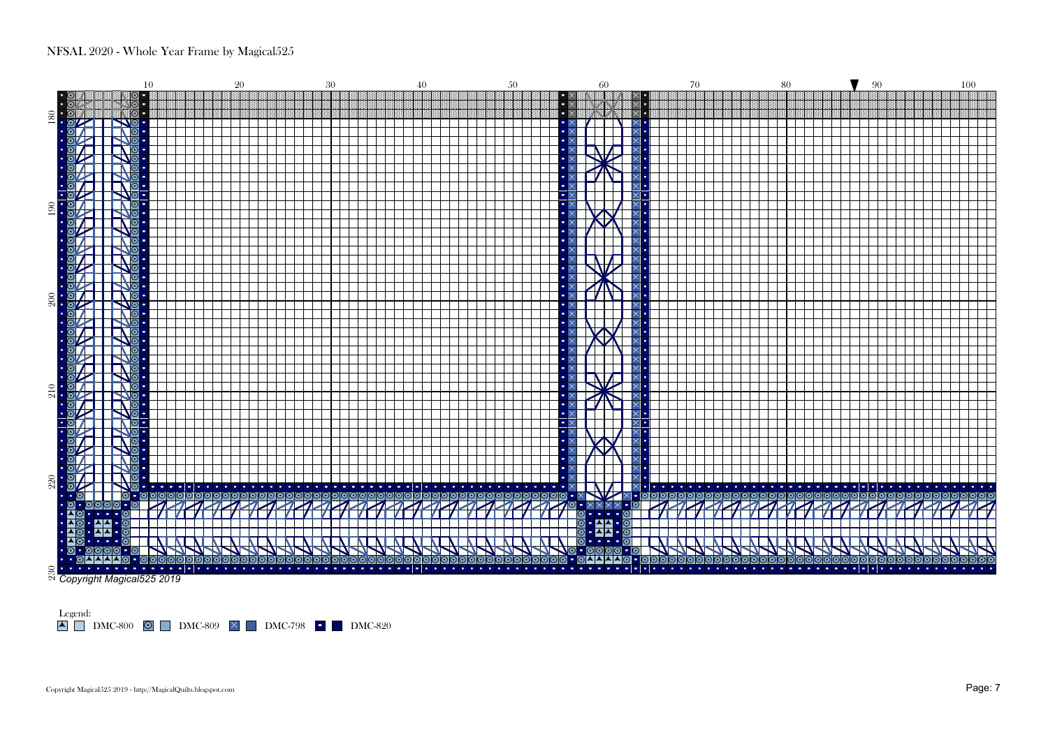

Legend: DMC-800 DMC-809 DMC-798 DMC-820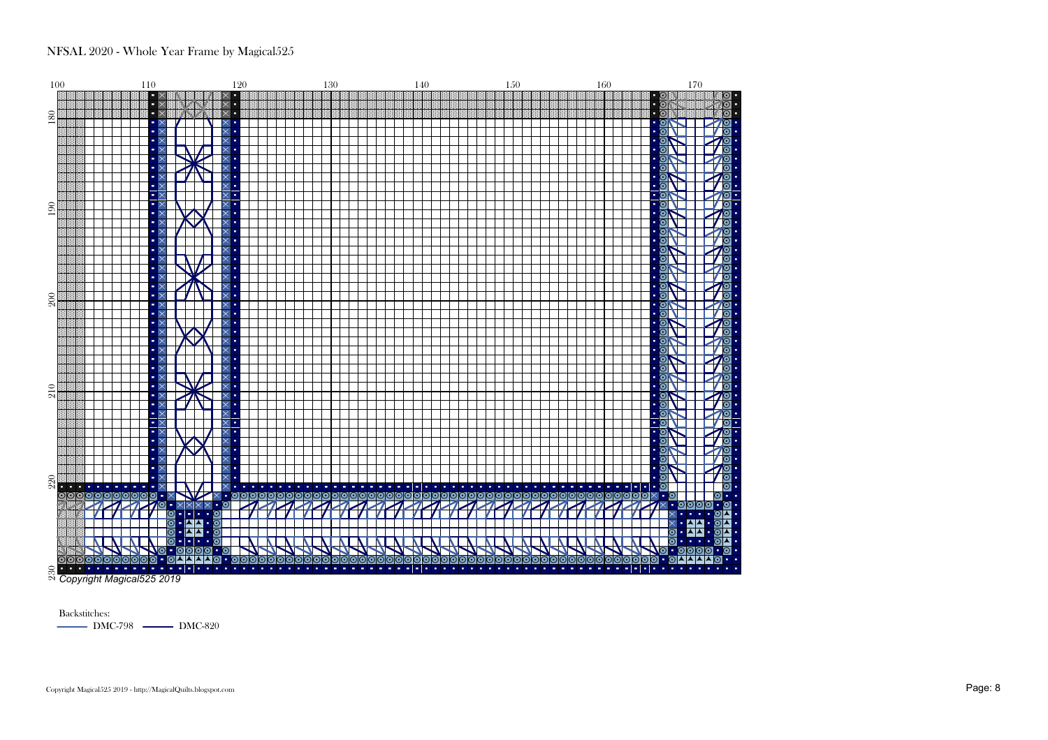

Backstitches:DMC-798 - DMC-820